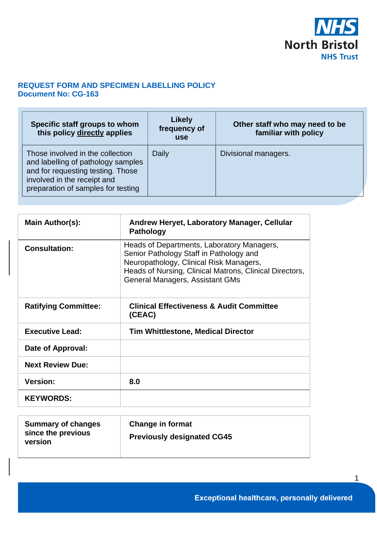

### **REQUEST FORM AND SPECIMEN LABELLING POLICY Document No: CG-163**

| Specific staff groups to whom<br>this policy directly applies                                                                                                                    | <b>Likely</b><br>frequency of<br><b>use</b> | Other staff who may need to be<br>familiar with policy |
|----------------------------------------------------------------------------------------------------------------------------------------------------------------------------------|---------------------------------------------|--------------------------------------------------------|
| Those involved in the collection<br>and labelling of pathology samples<br>and for requesting testing. Those<br>involved in the receipt and<br>preparation of samples for testing | Daily                                       | Divisional managers.                                   |

| Main Author(s):             | Andrew Heryet, Laboratory Manager, Cellular<br><b>Pathology</b>                                                                                                                                                                |
|-----------------------------|--------------------------------------------------------------------------------------------------------------------------------------------------------------------------------------------------------------------------------|
| <b>Consultation:</b>        | Heads of Departments, Laboratory Managers,<br>Senior Pathology Staff in Pathology and<br>Neuropathology, Clinical Risk Managers,<br>Heads of Nursing, Clinical Matrons, Clinical Directors,<br>General Managers, Assistant GMs |
| <b>Ratifying Committee:</b> | <b>Clinical Effectiveness &amp; Audit Committee</b><br>(CEAC)                                                                                                                                                                  |
| <b>Executive Lead:</b>      | <b>Tim Whittlestone, Medical Director</b>                                                                                                                                                                                      |
| Date of Approval:           |                                                                                                                                                                                                                                |
| <b>Next Review Due:</b>     |                                                                                                                                                                                                                                |
| <b>Version:</b>             | 8.0                                                                                                                                                                                                                            |
| <b>KEYWORDS:</b>            |                                                                                                                                                                                                                                |

1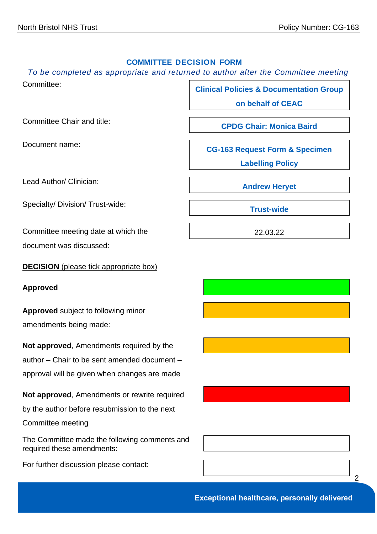## **COMMITTEE DECISION FORM**

*To be completed as appropriate and returned to author after the Committee meeting*

Lead Author/ Clinician: **Andrew Heryet** 

Specialty/ Division/ Trust-wide:

Committee meeting date at which the document was discussed:

**DECISION** (please tick appropriate box)

### **Approved**

**Approved** subject to following minor amendments being made:

**Not approved**, Amendments required by the author – Chair to be sent amended document – approval will be given when changes are made

**Not approved**, Amendments or rewrite required by the author before resubmission to the next Committee meeting

The Committee made the following comments and required these amendments:

For further discussion please contact:

Committee: **Clinical Policies & Documentation Group** 

**on behalf of CEAC**

Committee Chair and title: **CPDG Chair: Monica Baird**

Document name: **CG-163 Request Form & Specimen** 

**Labelling Policy**

**Trust-wide**

22.03.22

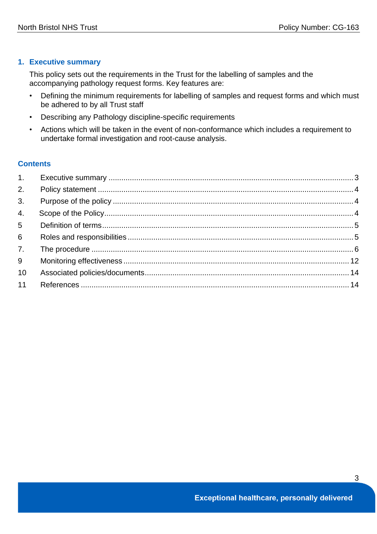### <span id="page-2-0"></span>**1. Executive summary**

This policy sets out the requirements in the Trust for the labelling of samples and the accompanying pathology request forms. Key features are:

- Defining the minimum requirements for labelling of samples and request forms and which must be adhered to by all Trust staff
- Describing any Pathology discipline-specific requirements
- Actions which will be taken in the event of non-conformance which includes a requirement to undertake formal investigation and root-cause analysis.

#### **Contents**

| 1.              |  |
|-----------------|--|
| 2.              |  |
| 3.              |  |
| 4.              |  |
| 5 <sup>1</sup>  |  |
| 6               |  |
| 7.              |  |
| 9               |  |
| 10 <sup>1</sup> |  |
| 11              |  |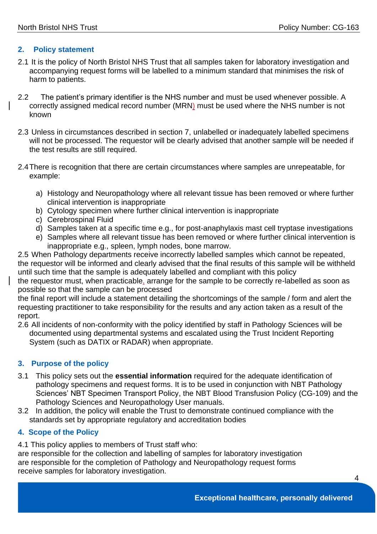## <span id="page-3-0"></span>**2. Policy statement**

- 2.1 It is the policy of North Bristol NHS Trust that all samples taken for laboratory investigation and accompanying request forms will be labelled to a minimum standard that minimises the risk of harm to patients.
- 2.2 The patient's primary identifier is the NHS number and must be used whenever possible. A correctly assigned medical record number (MRN) must be used where the NHS number is not known
- 2.3 Unless in circumstances described in section 7, unlabelled or inadequately labelled specimens will not be processed. The requestor will be clearly advised that another sample will be needed if the test results are still required.
- 2.4There is recognition that there are certain circumstances where samples are unrepeatable, for example:
	- a) Histology and Neuropathology where all relevant tissue has been removed or where further clinical intervention is inappropriate
	- b) Cytology specimen where further clinical intervention is inappropriate
	- c) Cerebrospinal Fluid
	- d) Samples taken at a specific time e.g., for post-anaphylaxis mast cell tryptase investigations
	- e) Samples where all relevant tissue has been removed or where further clinical intervention is inappropriate e.g., spleen, lymph nodes, bone marrow.

2.5 When Pathology departments receive incorrectly labelled samples which cannot be repeated, the requestor will be informed and clearly advised that the final results of this sample will be withheld until such time that the sample is adequately labelled and compliant with this policy

the requestor must, when practicable, arrange for the sample to be correctly re-labelled as soon as possible so that the sample can be processed

the final report will include a statement detailing the shortcomings of the sample / form and alert the requesting practitioner to take responsibility for the results and any action taken as a result of the report.

2.6 All incidents of non-conformity with the policy identified by staff in Pathology Sciences will be documented using departmental systems and escalated using the Trust Incident Reporting System (such as DATIX or RADAR) when appropriate.

## <span id="page-3-1"></span>**3. Purpose of the policy**

- 3.1 This policy sets out the **essential information** required for the adequate identification of pathology specimens and request forms. It is to be used in conjunction with NBT Pathology Sciences' NBT Specimen Transport Policy, the NBT Blood Transfusion Policy (CG-109) and the Pathology Sciences and Neuropathology User manuals.
- 3.2 In addition, the policy will enable the Trust to demonstrate continued compliance with the standards set by appropriate regulatory and accreditation bodies

## <span id="page-3-2"></span>**4. Scope of the Policy**

4.1 This policy applies to members of Trust staff who:

are responsible for the collection and labelling of samples for laboratory investigation are responsible for the completion of Pathology and Neuropathology request forms receive samples for laboratory investigation.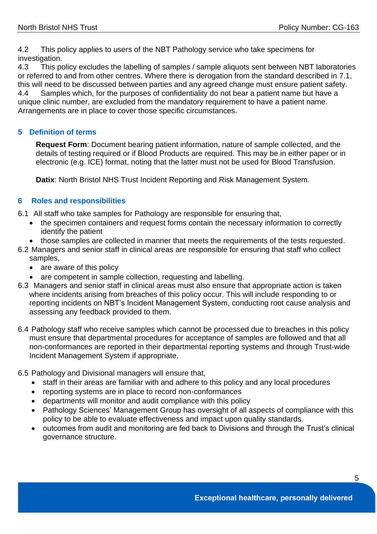4.2 This policy applies to users of the NBT Pathology service who take specimens for investigation.<br>4.3 This po

This policy excludes the labelling of samples / sample aliquots sent between NBT laboratories or referred to and from other centres. Where there is derogation from the standard described in 7.1, this will need to be discussed between parties and any agreed change must ensure patient safety.

4.4 Samples which, for the purposes of confidentiality do not bear a patient name but have a unique clinic number, are excluded from the mandatory requirement to have a patient name. Arrangements are in place to cover those specific circumstances.

## <span id="page-4-0"></span>**5 Definition of terms**

**Request Form**: Document bearing patient information, nature of sample collected, and the details of testing required or if Blood Products are required. This may be in either paper or in electronic (e.g. ICE) format, noting that the latter must not be used for Blood Transfusion.

**Datix**: North Bristol NHS Trust Incident Reporting and Risk Management System.

### <span id="page-4-1"></span>**6 Roles and responsibilities**

6.1 All staff who take samples for Pathology are responsible for ensuring that,

- the specimen containers and request forms contain the necessary information to correctly identify the patient
- those samples are collected in manner that meets the requirements of the tests requested.
- 6.2 Managers and senior staff in clinical areas are responsible for ensuring that staff who collect samples,
	- are aware of this policy
	- are competent in sample collection, requesting and labelling.
- 6.3 Managers and senior staff in clinical areas must also ensure that appropriate action is taken where incidents arising from breaches of this policy occur. This will include responding to or reporting incidents on NBT's Incident Management System, conducting root cause analysis and assessing any feedback provided to them.
- 6.4 Pathology staff who receive samples which cannot be processed due to breaches in this policy must ensure that departmental procedures for acceptance of samples are followed and that all non-conformances are reported in their departmental reporting systems and through Trust-wide Incident Management System if appropriate.
- 6.5 Pathology and Divisional managers will ensure that,
	- staff in their areas are familiar with and adhere to this policy and any local procedures
	- reporting systems are in place to record non-conformances
	- departments will monitor and audit compliance with this policy
	- Pathology Sciences' Management Group has oversight of all aspects of compliance with this policy to be able to evaluate effectiveness and impact upon quality standards.
	- outcomes from audit and monitoring are fed back to Divisions and through the Trust's clinical governance structure.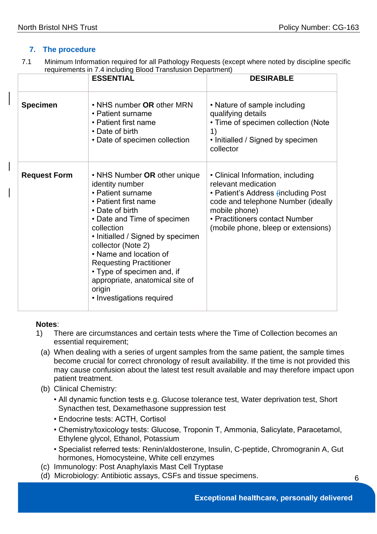## <span id="page-5-0"></span>**7. The procedure**

7.1 Minimum Information required for all Pathology Requests (except where noted by discipline specific requirements in 7.4 including Blood Transfusion Department)

|                     | <b>ESSENTIAL</b>                                                                                                                                                                                                                                                                                                                                                                            | <b>DESIRABLE</b>                                                                                                                                                                                                                |
|---------------------|---------------------------------------------------------------------------------------------------------------------------------------------------------------------------------------------------------------------------------------------------------------------------------------------------------------------------------------------------------------------------------------------|---------------------------------------------------------------------------------------------------------------------------------------------------------------------------------------------------------------------------------|
| <b>Specimen</b>     | • NHS number OR other MRN<br>• Patient surname<br>• Patient first name<br>• Date of birth<br>• Date of specimen collection                                                                                                                                                                                                                                                                  | • Nature of sample including<br>qualifying details<br>• Time of specimen collection (Note<br>1)<br>• Initialled / Signed by specimen<br>collector                                                                               |
| <b>Request Form</b> | • NHS Number OR other unique<br>identity number<br>• Patient surname<br>• Patient first name<br>• Date of birth<br>• Date and Time of specimen<br>collection<br>• Initialled / Signed by specimen<br>collector (Note 2)<br>• Name and location of<br><b>Requesting Practitioner</b><br>• Type of specimen and, if<br>appropriate, anatomical site of<br>origin<br>• Investigations required | • Clinical Information, including<br>relevant medication<br>• Patient's Address (including Post<br>code and telephone Number (ideally<br>mobile phone)<br>• Practitioners contact Number<br>(mobile phone, bleep or extensions) |

### **Notes**:

- 1) There are circumstances and certain tests where the Time of Collection becomes an essential requirement;
	- (a) When dealing with a series of urgent samples from the same patient, the sample times become crucial for correct chronology of result availability. If the time is not provided this may cause confusion about the latest test result available and may therefore impact upon patient treatment.
	- (b) Clinical Chemistry:
		- All dynamic function tests e.g. Glucose tolerance test, Water deprivation test, Short Synacthen test, Dexamethasone suppression test
		- Endocrine tests: ACTH, Cortisol
		- Chemistry/toxicology tests: Glucose, Troponin T, Ammonia, Salicylate, Paracetamol, Ethylene glycol, Ethanol, Potassium
		- Specialist referred tests: Renin/aldosterone, Insulin, C-peptide, Chromogranin A, Gut hormones, Homocysteine, White cell enzymes
	- (c) Immunology: Post Anaphylaxis Mast Cell Tryptase
	- (d) Microbiology: Antibiotic assays, CSFs and tissue specimens.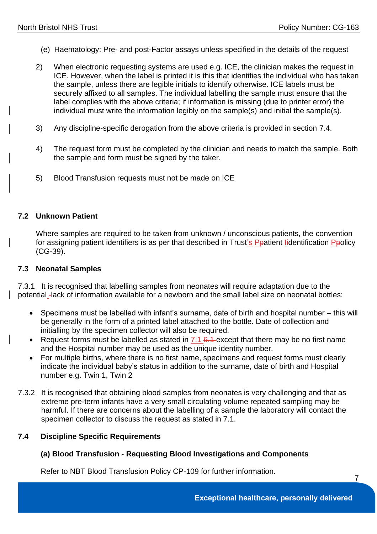- (e) Haematology: Pre- and post-Factor assays unless specified in the details of the request
- 2) When electronic requesting systems are used e.g. ICE, the clinician makes the request in ICE. However, when the label is printed it is this that identifies the individual who has taken the sample, unless there are legible initials to identify otherwise. ICE labels must be securely affixed to all samples. The individual labelling the sample must ensure that the label complies with the above criteria; if information is missing (due to printer error) the individual must write the information legibly on the sample(s) and initial the sample(s).
- 3) Any discipline-specific derogation from the above criteria is provided in section 7.4.
- 4) The request form must be completed by the clinician and needs to match the sample. Both the sample and form must be signed by the taker.
- 5) Blood Transfusion requests must not be made on ICE

#### **7.2 Unknown Patient**

Where samples are required to be taken from unknown / unconscious patients, the convention for assigning patient identifiers is as per that described in Trust's Ppatient Iidentification Ppolicy (CG-39).

#### **7.3 Neonatal Samples**

7.3.1 It is recognised that labelling samples from neonates will require adaptation due to the potential -lack of information available for a newborn and the small label size on neonatal bottles:

- Specimens must be labelled with infant's surname, date of birth and hospital number this will be generally in the form of a printed label attached to the bottle. Date of collection and initialling by the specimen collector will also be required.
- Request forms must be labelled as stated in  $7.16.1$  except that there may be no first name and the Hospital number may be used as the unique identity number.
- For multiple births, where there is no first name, specimens and request forms must clearly indicate the individual baby's status in addition to the surname, date of birth and Hospital number e.g. Twin 1, Twin 2
- 7.3.2 It is recognised that obtaining blood samples from neonates is very challenging and that as extreme pre-term infants have a very small circulating volume repeated sampling may be harmful. If there are concerns about the labelling of a sample the laboratory will contact the specimen collector to discuss the request as stated in 7.1.

#### **7.4 Discipline Specific Requirements**

#### **(a) Blood Transfusion - Requesting Blood Investigations and Components**

Refer to NBT Blood Transfusion Policy CP-109 for further information.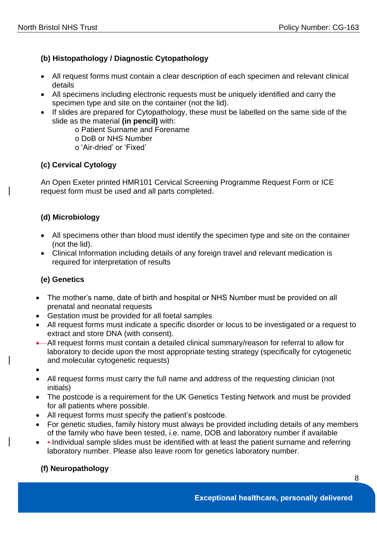# **(b) Histopathology / Diagnostic Cytopathology**

- All request forms must contain a clear description of each specimen and relevant clinical details
- All specimens including electronic requests must be uniquely identified and carry the specimen type and site on the container (not the lid).
- If slides are prepared for Cytopathology, these must be labelled on the same side of the slide as the material **(in pencil)** with:
	- o Patient Surname and Forename
	- o DoB or NHS Number
	- o 'Air-dried' or 'Fixed'

## **(c) Cervical Cytology**

An Open Exeter printed HMR101 Cervical Screening Programme Request Form or ICE request form must be used and all parts completed.

## **(d) Microbiology**

- All specimens other than blood must identify the specimen type and site on the container (not the lid).
- Clinical Information including details of any foreign travel and relevant medication is required for interpretation of results

## **(e) Genetics**

- The mother's name, date of birth and hospital or NHS Number must be provided on all prenatal and neonatal requests
- Gestation must be provided for all foetal samples
- All request forms must indicate a specific disorder or locus to be investigated or a request to extract and store DNA (with consent).
- All request forms must contain a detailed clinical summary/reason for referral to allow for laboratory to decide upon the most appropriate testing strategy (specifically for cytogenetic and molecular cytogenetic requests)
- •
- All request forms must carry the full name and address of the requesting clinician (not initials)
- The postcode is a requirement for the UK Genetics Testing Network and must be provided for all patients where possible.
- All request forms must specify the patient's postcode.
- For genetic studies, family history must always be provided including details of any members of the family who have been tested, i.e. name, DOB and laboratory number if available
- • Individual sample slides must be identified with at least the patient surname and referring laboratory number. Please also leave room for genetics laboratory number.

## **(f) Neuropathology**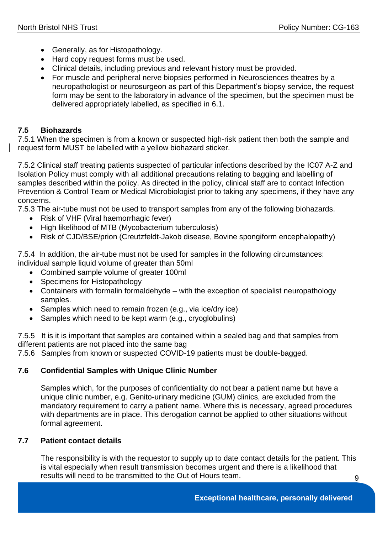- Generally, as for Histopathology.
- Hard copy request forms must be used.
- Clinical details, including previous and relevant history must be provided.
- For muscle and peripheral nerve biopsies performed in Neurosciences theatres by a neuropathologist or neurosurgeon as part of this Department's biopsy service, the request form may be sent to the laboratory in advance of the specimen, but the specimen must be delivered appropriately labelled, as specified in 6.1.

### **7.5 Biohazards**

7.5.1 When the specimen is from a known or suspected high-risk patient then both the sample and request form MUST be labelled with a yellow biohazard sticker.

7.5.2 Clinical staff treating patients suspected of particular infections described by the IC07 A-Z and Isolation Policy must comply with all additional precautions relating to bagging and labelling of samples described within the policy. As directed in the policy, clinical staff are to contact Infection Prevention & Control Team or Medical Microbiologist prior to taking any specimens, if they have any concerns.

7.5.3 The air-tube must not be used to transport samples from any of the following biohazards.

- Risk of VHF (Viral haemorrhagic fever)
- High likelihood of MTB (Mycobacterium tuberculosis)
- Risk of CJD/BSE/prion (Creutzfeldt-Jakob disease, Bovine spongiform encephalopathy)

7.5.4 In addition, the air-tube must not be used for samples in the following circumstances: individual sample liquid volume of greater than 50ml

- Combined sample volume of greater 100ml
- Specimens for Histopathology
- Containers with formalin formaldehyde with the exception of specialist neuropathology samples.
- Samples which need to remain frozen (e.g., via ice/dry ice)
- Samples which need to be kept warm (e.g., cryoglobulins)

7.5.5 It is it is important that samples are contained within a sealed bag and that samples from different patients are not placed into the same bag

7.5.6 Samples from known or suspected COVID-19 patients must be double-bagged.

## **7.6 Confidential Samples with Unique Clinic Number**

Samples which, for the purposes of confidentiality do not bear a patient name but have a unique clinic number, e.g. Genito-urinary medicine (GUM) clinics, are excluded from the mandatory requirement to carry a patient name. Where this is necessary, agreed procedures with departments are in place. This derogation cannot be applied to other situations without formal agreement.

### **7.7 Patient contact details**

The responsibility is with the requestor to supply up to date contact details for the patient. This is vital especially when result transmission becomes urgent and there is a likelihood that results will need to be transmitted to the Out of Hours team.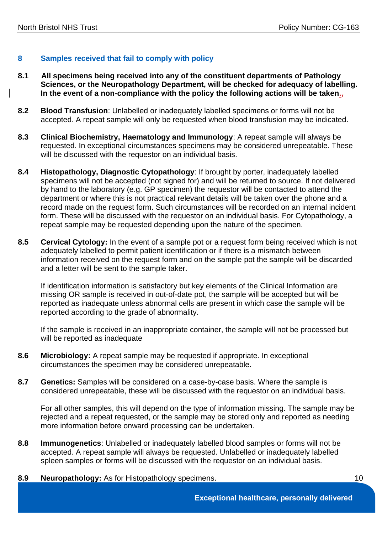## **8 Samples received that fail to comply with policy**

- **8.1 All specimens being received into any of the constituent departments of Pathology Sciences, or the Neuropathology Department, will be checked for adequacy of labelling.**  In the event of a non-compliance with the policy the following actions will be taken<sub>17</sub>
- **8.2 Blood Transfusion**: Unlabelled or inadequately labelled specimens or forms will not be accepted. A repeat sample will only be requested when blood transfusion may be indicated.
- **8.3 Clinical Biochemistry, Haematology and Immunology**: A repeat sample will always be requested. In exceptional circumstances specimens may be considered unrepeatable. These will be discussed with the requestor on an individual basis.
- **8.4 Histopathology, Diagnostic Cytopathology**: If brought by porter, inadequately labelled specimens will not be accepted (not signed for) and will be returned to source. If not delivered by hand to the laboratory (e.g. GP specimen) the requestor will be contacted to attend the department or where this is not practical relevant details will be taken over the phone and a record made on the request form. Such circumstances will be recorded on an internal incident form. These will be discussed with the requestor on an individual basis. For Cytopathology, a repeat sample may be requested depending upon the nature of the specimen.
- **8.5 Cervical Cytology:** In the event of a sample pot or a request form being received which is not adequately labelled to permit patient identification or if there is a mismatch between information received on the request form and on the sample pot the sample will be discarded and a letter will be sent to the sample taker.

If identification information is satisfactory but key elements of the Clinical Information are missing OR sample is received in out-of-date pot, the sample will be accepted but will be reported as inadequate unless abnormal cells are present in which case the sample will be reported according to the grade of abnormality.

If the sample is received in an inappropriate container, the sample will not be processed but will be reported as inadequate

- **8.6 Microbiology:** A repeat sample may be requested if appropriate. In exceptional circumstances the specimen may be considered unrepeatable.
- **8.7 Genetics:** Samples will be considered on a case-by-case basis. Where the sample is considered unrepeatable, these will be discussed with the requestor on an individual basis.

For all other samples, this will depend on the type of information missing. The sample may be rejected and a repeat requested, or the sample may be stored only and reported as needing more information before onward processing can be undertaken.

- **8.8 Immunogenetics**: Unlabelled or inadequately labelled blood samples or forms will not be accepted. A repeat sample will always be requested. Unlabelled or inadequately labelled spleen samples or forms will be discussed with the requestor on an individual basis.
- **8.9 Neuropathology:** As for Histopathology specimens.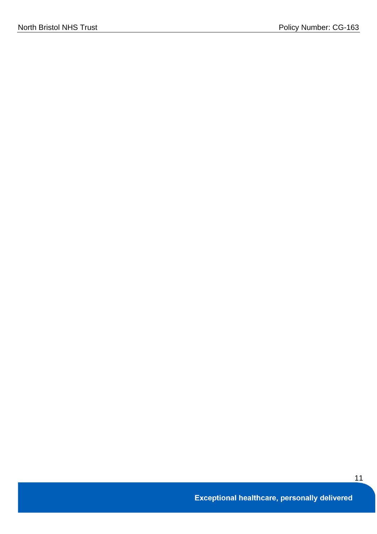11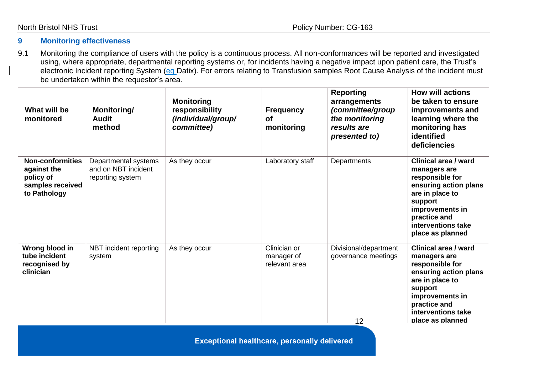#### **9 Monitoring effectiveness**

9.1 Monitoring the compliance of users with the policy is a continuous process. All non-conformances will be reported and investigated using, where appropriate, departmental reporting systems or, for incidents having a negative impact upon patient care, the Trust's electronic Incident reporting System (eg Datix). For errors relating to Transfusion samples Root Cause Analysis of the incident must be undertaken within the requestor's area.

<span id="page-11-0"></span>

| What will be<br>monitored                                                               | Monitoring/<br><b>Audit</b><br>method                           | <b>Monitoring</b><br>responsibility<br>(individual/group/<br>committee) | <b>Frequency</b><br>οf<br>monitoring        | <b>Reporting</b><br>arrangements<br>(committee/group<br>the monitoring<br>results are<br>presented to) | <b>How will actions</b><br>be taken to ensure<br>improvements and<br>learning where the<br>monitoring has<br>identified<br>deficiencies                                                            |
|-----------------------------------------------------------------------------------------|-----------------------------------------------------------------|-------------------------------------------------------------------------|---------------------------------------------|--------------------------------------------------------------------------------------------------------|----------------------------------------------------------------------------------------------------------------------------------------------------------------------------------------------------|
| <b>Non-conformities</b><br>against the<br>policy of<br>samples received<br>to Pathology | Departmental systems<br>and on NBT incident<br>reporting system | As they occur                                                           | Laboratory staff                            | Departments                                                                                            | Clinical area / ward<br>managers are<br>responsible for<br>ensuring action plans<br>are in place to<br>support<br>improvements in<br>practice and<br>interventions take<br>place as planned        |
| Wrong blood in<br>tube incident<br>recognised by<br>clinician                           | NBT incident reporting<br>system                                | As they occur                                                           | Clinician or<br>manager of<br>relevant area | Divisional/department<br>governance meetings<br>12                                                     | <b>Clinical area / ward</b><br>managers are<br>responsible for<br>ensuring action plans<br>are in place to<br>support<br>improvements in<br>practice and<br>interventions take<br>place as planned |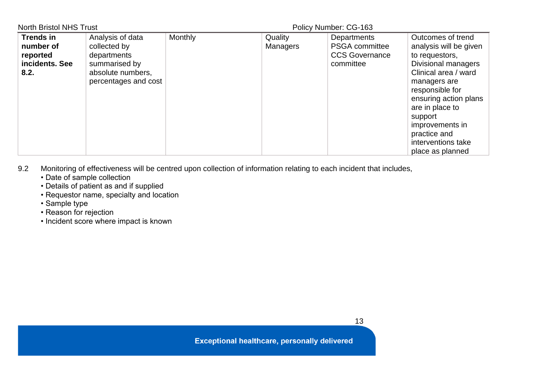North Bristol NHS Trust **Policy Number: CG-163 Trends in number of reported incidents. See 8.2.**  Analysis of data collected by departments summarised by absolute numbers, percentages and cost Monthly **Quality** Managers **Departments** PSGA committee CCS Governance committee Outcomes of trend analysis will be given to requestors, Divisional managers Clinical area / ward managers are responsible for ensuring action plans are in place to support improvements in practice and interventions take place as planned

9.2 Monitoring of effectiveness will be centred upon collection of information relating to each incident that includes,

- Date of sample collection
- Details of patient as and if supplied
- Requestor name, specialty and location
- Sample type
- Reason for rejection
- Incident score where impact is known